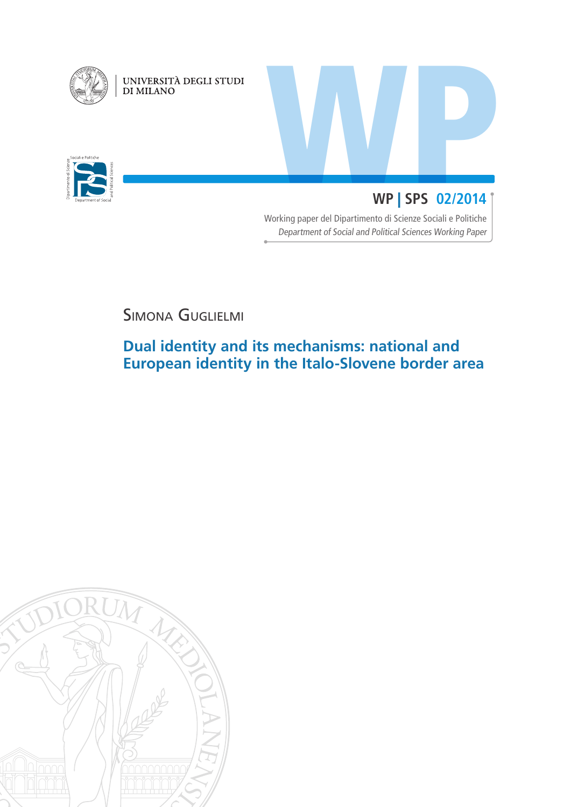

UNIVERSITÀ DEGLI STUDI<br>DI MILANO



# WP | SPS 02/2014 **WP** | **SPS 02/2014**

Working paper del Dipartimento di Scienze Sociali e Politiche Department of Social and Political Sciences Working Paper

Simona Guglielmi

# **Dual identity and its mechanisms: national and European identity in the Italo-Slovene border area**

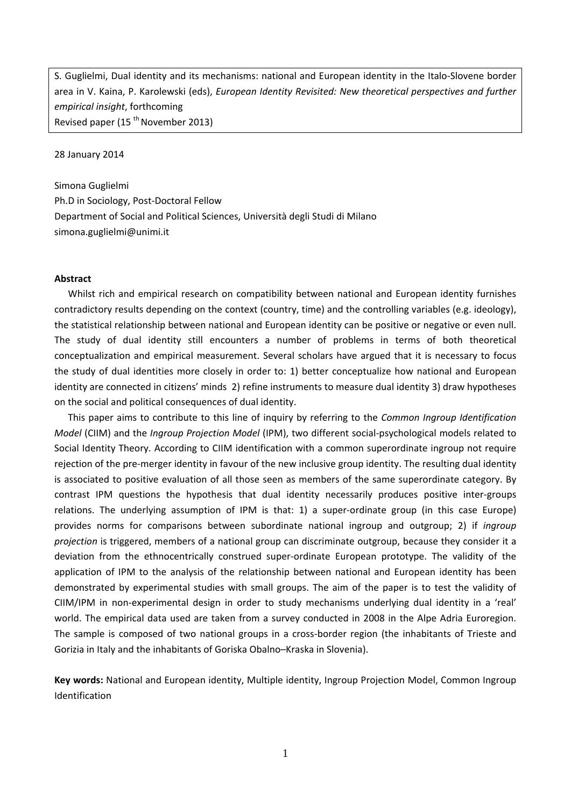S. Guglielmi, Dual identity and its mechanisms: national and European identity in the Italo‐Slovene border area in V. Kaina, P. Karolewski (eds), *European Identity Revisited: New theoretical perspectives and further empirical insight*, forthcoming Revised paper (15 $th$  November 2013)

28 January 2014

Simona Guglielmi Ph.D in Sociology, Post‐Doctoral Fellow Department of Social and Political Sciences, Università degli Studi di Milano simona.guglielmi@unimi.it

#### **Abstract**

Whilst rich and empirical research on compatibility between national and European identity furnishes contradictory results depending on the context (country, time) and the controlling variables (e.g. ideology), the statistical relationship between national and European identity can be positive or negative or even null. The study of dual identity still encounters a number of problems in terms of both theoretical conceptualization and empirical measurement. Several scholars have argued that it is necessary to focus the study of dual identities more closely in order to: 1) better conceptualize how national and European identity are connected in citizens' minds 2) refine instruments to measure dual identity 3) draw hypotheses on the social and political consequences of dual identity.

This paper aims to contribute to this line of inquiry by referring to the *Common Ingroup Identification Model* (CIIM) and the *Ingroup Projection Model* (IPM), two different social‐psychological models related to Social Identity Theory. According to CIIM identification with a common superordinate ingroup not require rejection of the pre‐merger identity in favour of the new inclusive group identity. The resulting dual identity is associated to positive evaluation of all those seen as members of the same superordinate category. By contrast IPM questions the hypothesis that dual identity necessarily produces positive inter‐groups relations. The underlying assumption of IPM is that: 1) a super‐ordinate group (in this case Europe) provides norms for comparisons between subordinate national ingroup and outgroup; 2) if *ingroup projection* is triggered, members of a national group can discriminate outgroup, because they consider it a deviation from the ethnocentrically construed super-ordinate European prototype. The validity of the application of IPM to the analysis of the relationship between national and European identity has been demonstrated by experimental studies with small groups. The aim of the paper is to test the validity of CIIM/IPM in non‐experimental design in order to study mechanisms underlying dual identity in a 'real' world. The empirical data used are taken from a survey conducted in 2008 in the Alpe Adria Euroregion. The sample is composed of two national groups in a cross-border region (the inhabitants of Trieste and Gorizia in Italy and the inhabitants of Goriska Obalno–Kraska in Slovenia).

**Key words:** National and European identity, Multiple identity, Ingroup Projection Model, Common Ingroup Identification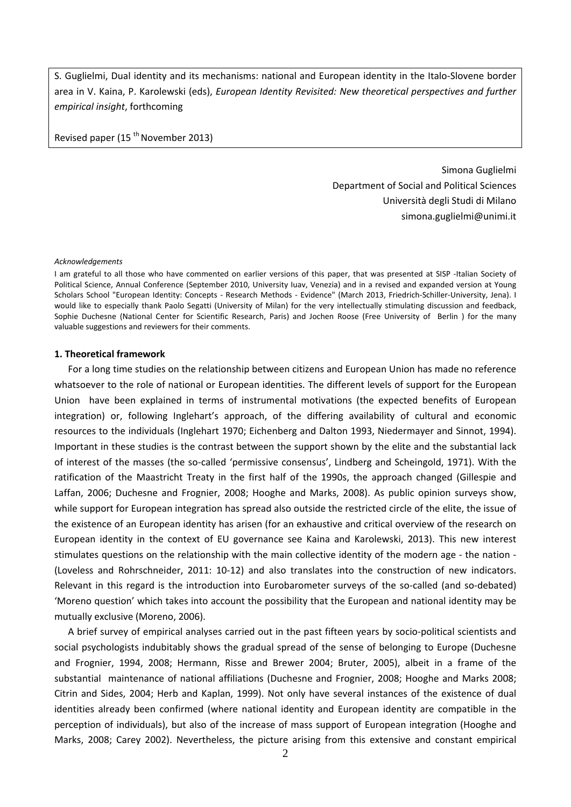S. Guglielmi, Dual identity and its mechanisms: national and European identity in the Italo‐Slovene border area in V. Kaina, P. Karolewski (eds), *European Identity Revisited: New theoretical perspectives and further empirical insight*, forthcoming

Revised paper (15 $th$  November 2013)

Simona Guglielmi Department of Social and Political Sciences Università degli Studi di Milano simona.guglielmi@unimi.it

#### *Acknowledgements*

I am grateful to all those who have commented on earlier versions of this paper, that was presented at SISP -Italian Society of Political Science, Annual Conference (September 2010, University Iuav, Venezia) and in a revised and expanded version at Young Scholars School "European Identity: Concepts - Research Methods - Evidence" (March 2013, Friedrich-Schiller-University, Jena). I would like to especially thank Paolo Segatti (University of Milan) for the very intellectually stimulating discussion and feedback, Sophie Duchesne (National Center for Scientific Research, Paris) and Jochen Roose (Free University of Berlin ) for the many valuable suggestions and reviewers for their comments.

# **1. Theoretical framework**

For a long time studies on the relationship between citizens and European Union has made no reference whatsoever to the role of national or European identities. The different levels of support for the European Union have been explained in terms of instrumental motivations (the expected benefits of European integration) or, following Inglehart's approach, of the differing availability of cultural and economic resources to the individuals (Inglehart 1970; Eichenberg and Dalton 1993, Niedermayer and Sinnot, 1994). Important in these studies is the contrast between the support shown by the elite and the substantial lack of interest of the masses (the so‐called 'permissive consensus', Lindberg and Scheingold, 1971). With the ratification of the Maastricht Treaty in the first half of the 1990s, the approach changed (Gillespie and Laffan, 2006; Duchesne and Frognier, 2008; Hooghe and Marks, 2008). As public opinion surveys show, while support for European integration has spread also outside the restricted circle of the elite, the issue of the existence of an European identity has arisen (for an exhaustive and critical overview of the research on European identity in the context of EU governance see Kaina and Karolewski, 2013). This new interest stimulates questions on the relationship with the main collective identity of the modern age ‐ the nation ‐ (Loveless and Rohrschneider, 2011: 10‐12) and also translates into the construction of new indicators. Relevant in this regard is the introduction into Eurobarometer surveys of the so-called (and so-debated) 'Moreno question' which takes into account the possibility that the European and national identity may be mutually exclusive (Moreno, 2006).

A brief survey of empirical analyses carried out in the past fifteen years by socio‐political scientists and social psychologists indubitably shows the gradual spread of the sense of belonging to Europe (Duchesne and Frognier, 1994, 2008; Hermann, Risse and Brewer 2004; Bruter, 2005), albeit in a frame of the substantial maintenance of national affiliations (Duchesne and Frognier, 2008; Hooghe and Marks 2008; Citrin and Sides, 2004; Herb and Kaplan, 1999). Not only have several instances of the existence of dual identities already been confirmed (where national identity and European identity are compatible in the perception of individuals), but also of the increase of mass support of European integration (Hooghe and Marks, 2008; Carey 2002). Nevertheless, the picture arising from this extensive and constant empirical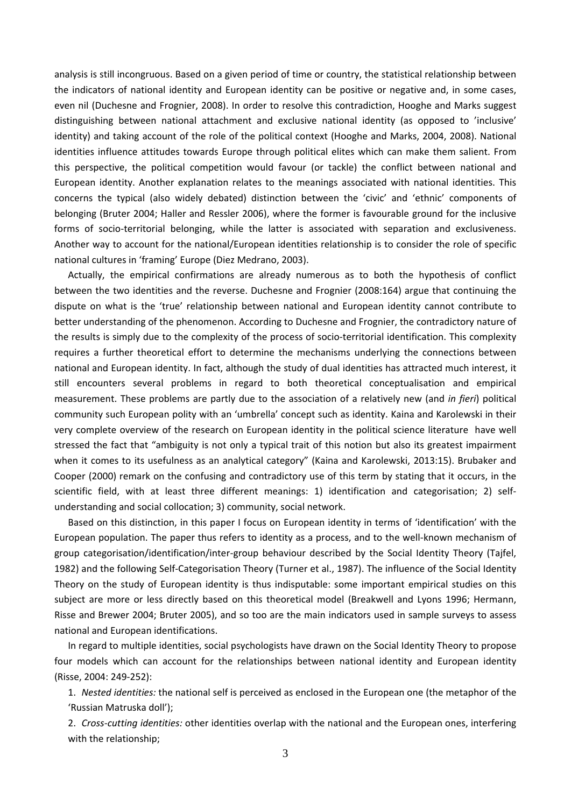analysis is still incongruous. Based on a given period of time or country, the statistical relationship between the indicators of national identity and European identity can be positive or negative and, in some cases, even nil (Duchesne and Frognier, 2008). In order to resolve this contradiction, Hooghe and Marks suggest distinguishing between national attachment and exclusive national identity (as opposed to 'inclusive' identity) and taking account of the role of the political context (Hooghe and Marks, 2004, 2008). National identities influence attitudes towards Europe through political elites which can make them salient. From this perspective, the political competition would favour (or tackle) the conflict between national and European identity. Another explanation relates to the meanings associated with national identities. This concerns the typical (also widely debated) distinction between the 'civic' and 'ethnic' components of belonging (Bruter 2004; Haller and Ressler 2006), where the former is favourable ground for the inclusive forms of socio-territorial belonging, while the latter is associated with separation and exclusiveness. Another way to account for the national/European identities relationship is to consider the role of specific national cultures in 'framing' Europe (Diez Medrano, 2003).

Actually, the empirical confirmations are already numerous as to both the hypothesis of conflict between the two identities and the reverse. Duchesne and Frognier (2008:164) argue that continuing the dispute on what is the 'true' relationship between national and European identity cannot contribute to better understanding of the phenomenon. According to Duchesne and Frognier, the contradictory nature of the results is simply due to the complexity of the process of socio-territorial identification. This complexity requires a further theoretical effort to determine the mechanisms underlying the connections between national and European identity. In fact, although the study of dual identities has attracted much interest, it still encounters several problems in regard to both theoretical conceptualisation and empirical measurement. These problems are partly due to the association of a relatively new (and *in fieri*) political community such European polity with an 'umbrella' concept such as identity. Kaina and Karolewski in their very complete overview of the research on European identity in the political science literature have well stressed the fact that "ambiguity is not only a typical trait of this notion but also its greatest impairment when it comes to its usefulness as an analytical category" (Kaina and Karolewski, 2013:15). Brubaker and Cooper (2000) remark on the confusing and contradictory use of this term by stating that it occurs, in the scientific field, with at least three different meanings: 1) identification and categorisation; 2) self‐ understanding and social collocation; 3) community, social network.

Based on this distinction, in this paper I focus on European identity in terms of 'identification' with the European population. The paper thus refers to identity as a process, and to the well-known mechanism of group categorisation/identification/inter‐group behaviour described by the Social Identity Theory (Tajfel, 1982) and the following Self‐Categorisation Theory (Turner et al., 1987). The influence of the Social Identity Theory on the study of European identity is thus indisputable: some important empirical studies on this subject are more or less directly based on this theoretical model (Breakwell and Lyons 1996; Hermann, Risse and Brewer 2004; Bruter 2005), and so too are the main indicators used in sample surveys to assess national and European identifications.

In regard to multiple identities, social psychologists have drawn on the Social Identity Theory to propose four models which can account for the relationships between national identity and European identity (Risse, 2004: 249‐252):

1. *Nested identities:* the national self is perceived as enclosed in the European one (the metaphor of the 'Russian Matruska doll');

2. *Cross‐cutting identities:* other identities overlap with the national and the European ones, interfering with the relationship;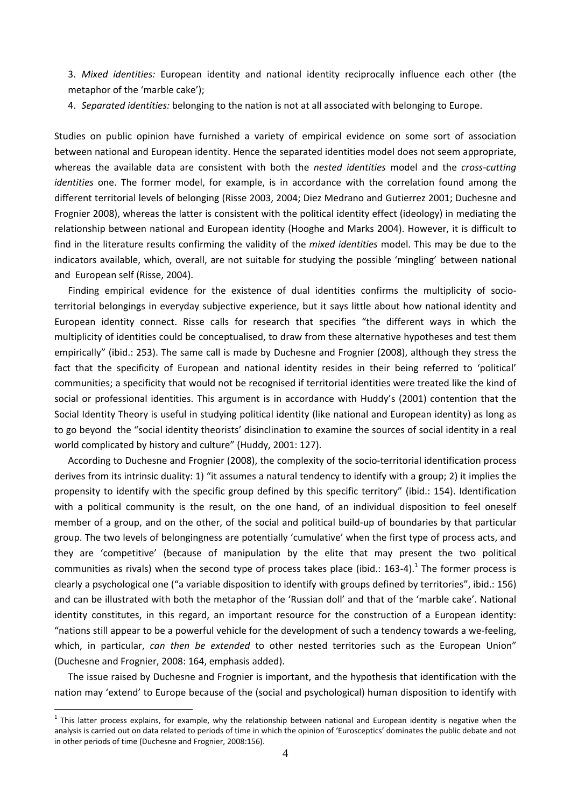3. *Mixed identities:* European identity and national identity reciprocally influence each other (the metaphor of the 'marble cake');

4. *Separated identities:* belonging to the nation is not at all associated with belonging to Europe.

Studies on public opinion have furnished a variety of empirical evidence on some sort of association between national and European identity. Hence the separated identities model does not seem appropriate, whereas the available data are consistent with both the *nested identities* model and the *cross‐cutting identities* one. The former model, for example, is in accordance with the correlation found among the different territorial levels of belonging (Risse 2003, 2004; Diez Medrano and Gutierrez 2001; Duchesne and Frognier 2008), whereas the latter is consistent with the political identity effect (ideology) in mediating the relationship between national and European identity (Hooghe and Marks 2004). However, it is difficult to find in the literature results confirming the validity of the *mixed identities* model. This may be due to the indicators available, which, overall, are not suitable for studying the possible 'mingling' between national and European self (Risse, 2004).

Finding empirical evidence for the existence of dual identities confirms the multiplicity of socioterritorial belongings in everyday subjective experience, but it says little about how national identity and European identity connect. Risse calls for research that specifies "the different ways in which the multiplicity of identities could be conceptualised, to draw from these alternative hypotheses and test them empirically" (ibid.: 253). The same call is made by Duchesne and Frognier (2008), although they stress the fact that the specificity of European and national identity resides in their being referred to 'political' communities; a specificity that would not be recognised if territorial identities were treated like the kind of social or professional identities. This argument is in accordance with Huddy's (2001) contention that the Social Identity Theory is useful in studying political identity (like national and European identity) as long as to go beyond the "social identity theorists' disinclination to examine the sources of social identity in a real world complicated by history and culture" (Huddy, 2001: 127).

According to Duchesne and Frognier (2008), the complexity of the socio‐territorial identification process derives from its intrinsic duality: 1) "it assumes a natural tendency to identify with a group; 2) it implies the propensity to identify with the specific group defined by this specific territory" (ibid.: 154). Identification with a political community is the result, on the one hand, of an individual disposition to feel oneself member of a group, and on the other, of the social and political build‐up of boundaries by that particular group. The two levels of belongingness are potentially 'cumulative' when the first type of process acts, and they are 'competitive' (because of manipulation by the elite that may present the two political communities as rivals) when the second type of process takes place (ibid.:  $163-4$ ).<sup>1</sup> The former process is clearly a psychological one ("a variable disposition to identify with groups defined by territories", ibid.: 156) and can be illustrated with both the metaphor of the 'Russian doll' and that of the 'marble cake'. National identity constitutes, in this regard, an important resource for the construction of a European identity: "nations still appear to be a powerful vehicle for the development of such a tendency towards a we‐feeling, which, in particular, *can then be extended* to other nested territories such as the European Union" (Duchesne and Frognier, 2008: 164, emphasis added).

The issue raised by Duchesne and Frognier is important, and the hypothesis that identification with the nation may 'extend' to Europe because of the (social and psychological) human disposition to identify with

 $1$  This latter process explains, for example, why the relationship between national and European identity is negative when the analysis is carried out on data related to periods of time in which the opinion of 'Eurosceptics' dominates the public debate and not in other periods of time (Duchesne and Frognier, 2008:156).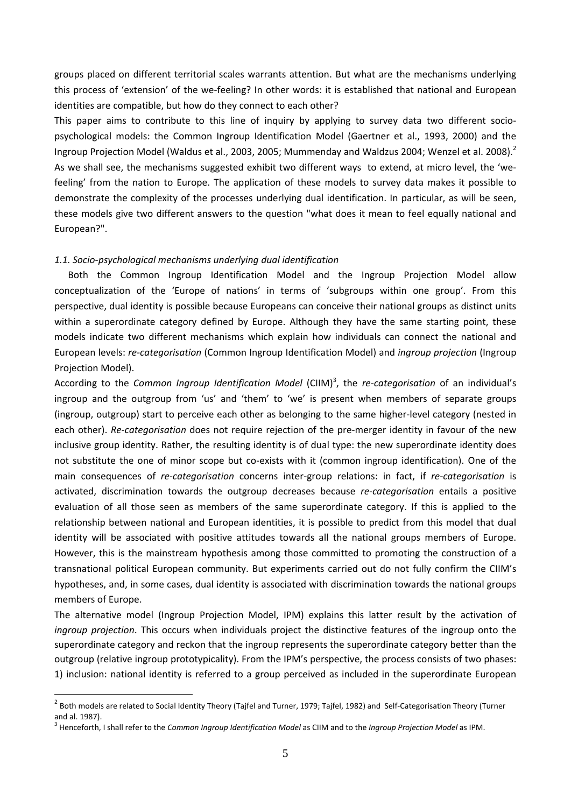groups placed on different territorial scales warrants attention. But what are the mechanisms underlying this process of 'extension' of the we‐feeling? In other words: it is established that national and European identities are compatible, but how do they connect to each other?

This paper aims to contribute to this line of inquiry by applying to survey data two different socio‐ psychological models: the Common Ingroup Identification Model (Gaertner et al., 1993, 2000) and the Ingroup Projection Model (Waldus et al., 2003, 2005; Mummenday and Waldzus 2004; Wenzel et al. 2008).<sup>2</sup> As we shall see, the mechanisms suggested exhibit two different ways to extend, at micro level, the 'wefeeling' from the nation to Europe. The application of these models to survey data makes it possible to demonstrate the complexity of the processes underlying dual identification. In particular, as will be seen, these models give two different answers to the question "what does it mean to feel equally national and European?".

#### *1.1. Socio‐psychological mechanisms underlying dual identification*

Both the Common Ingroup Identification Model and the Ingroup Projection Model allow conceptualization of the 'Europe of nations' in terms of 'subgroups within one group'. From this perspective, dual identity is possible because Europeans can conceive their national groups as distinct units within a superordinate category defined by Europe. Although they have the same starting point, these models indicate two different mechanisms which explain how individuals can connect the national and European levels: *re‐categorisation* (Common Ingroup Identification Model) and *ingroup projection* (Ingroup Projection Model).

According to the *Common Ingroup Identification Model* (CIIM)<sup>3</sup> , the *re‐categorisation* of an individual's ingroup and the outgroup from 'us' and 'them' to 'we' is present when members of separate groups (ingroup, outgroup) start to perceive each other as belonging to the same higher‐level category (nested in each other). *Re-categorisation* does not require rejection of the pre-merger identity in favour of the new inclusive group identity. Rather, the resulting identity is of dual type: the new superordinate identity does not substitute the one of minor scope but co-exists with it (common ingroup identification). One of the main consequences of *re‐categorisation* concerns inter‐group relations: in fact, if *re‐categorisation* is activated, discrimination towards the outgroup decreases because *re‐categorisation* entails a positive evaluation of all those seen as members of the same superordinate category. If this is applied to the relationship between national and European identities, it is possible to predict from this model that dual identity will be associated with positive attitudes towards all the national groups members of Europe. However, this is the mainstream hypothesis among those committed to promoting the construction of a transnational political European community. But experiments carried out do not fully confirm the CIIM's hypotheses, and, in some cases, dual identity is associated with discrimination towards the national groups members of Europe.

The alternative model (Ingroup Projection Model, IPM) explains this latter result by the activation of *ingroup projection*. This occurs when individuals project the distinctive features of the ingroup onto the superordinate category and reckon that the ingroup represents the superordinate category better than the outgroup (relative ingroup prototypicality). From the IPM's perspective, the process consists of two phases: 1) inclusion: national identity is referred to a group perceived as included in the superordinate European

<sup>&</sup>lt;sup>2</sup> Both models are related to Social Identity Theory (Tajfel and Turner, 1979; Tajfel, 1982) and Self-Categorisation Theory (Turner and al. 1987). <sup>3</sup> Henceforth, <sup>I</sup> shall refer to the *Common Ingroup Identification Model* as CIIM and to the *Ingroup Projection Model* as IPM.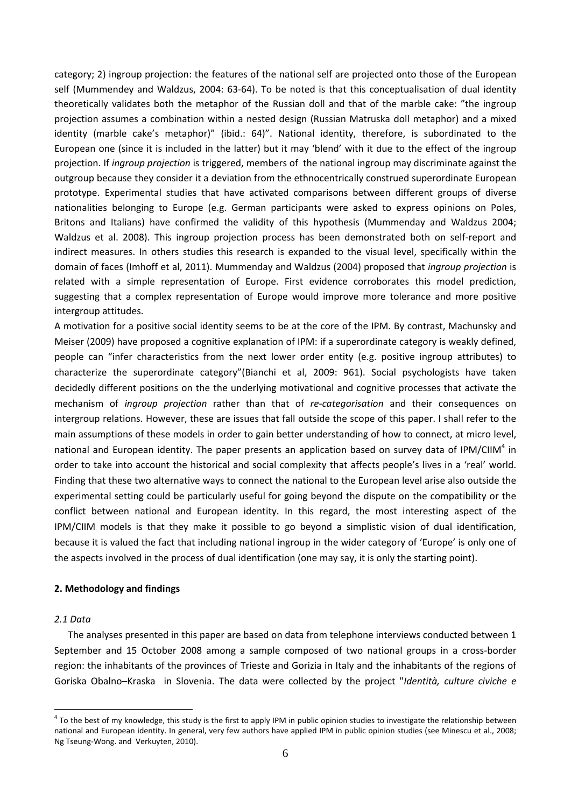category; 2) ingroup projection: the features of the national self are projected onto those of the European self (Mummendey and Waldzus, 2004: 63-64). To be noted is that this conceptualisation of dual identity theoretically validates both the metaphor of the Russian doll and that of the marble cake: "the ingroup projection assumes a combination within a nested design (Russian Matruska doll metaphor) and a mixed identity (marble cake's metaphor)" (ibid.: 64)". National identity, therefore, is subordinated to the European one (since it is included in the latter) but it may 'blend' with it due to the effect of the ingroup projection. If *ingroup projection* is triggered, members of the national ingroup may discriminate against the outgroup because they consider it a deviation from the ethnocentrically construed superordinate European prototype. Experimental studies that have activated comparisons between different groups of diverse nationalities belonging to Europe (e.g. German participants were asked to express opinions on Poles, Britons and Italians) have confirmed the validity of this hypothesis (Mummenday and Waldzus 2004; Waldzus et al. 2008). This ingroup projection process has been demonstrated both on self-report and indirect measures. In others studies this research is expanded to the visual level, specifically within the domain of faces (Imhoff et al, 2011). Mummenday and Waldzus (2004) proposed that *ingroup projection* is related with a simple representation of Europe. First evidence corroborates this model prediction, suggesting that a complex representation of Europe would improve more tolerance and more positive intergroup attitudes.

A motivation for a positive social identity seems to be at the core of the IPM. By contrast, Machunsky and Meiser (2009) have proposed a cognitive explanation of IPM: if a superordinate category is weakly defined, people can "infer characteristics from the next lower order entity (e.g. positive ingroup attributes) to characterize the superordinate category"(Bianchi et al, 2009: 961). Social psychologists have taken decidedly different positions on the the underlying motivational and cognitive processes that activate the mechanism of *ingroup projection* rather than that of *re‐categorisation* and their consequences on intergroup relations. However, these are issues that fall outside the scope of this paper. I shall refer to the main assumptions of these models in order to gain better understanding of how to connect, at micro level, national and European identity. The paper presents an application based on survey data of IPM/CIIM<sup>4</sup> in order to take into account the historical and social complexity that affects people's lives in a 'real' world. Finding that these two alternative ways to connect the national to the European level arise also outside the experimental setting could be particularly useful for going beyond the dispute on the compatibility or the conflict between national and European identity. In this regard, the most interesting aspect of the IPM/CIIM models is that they make it possible to go beyond a simplistic vision of dual identification, because it is valued the fact that including national ingroup in the wider category of 'Europe' is only one of the aspects involved in the process of dual identification (one may say, it is only the starting point).

# **2. Methodology and findings**

#### *2.1 Data*

 $\overline{a}$ 

The analyses presented in this paper are based on data from telephone interviews conducted between 1 September and 15 October 2008 among a sample composed of two national groups in a cross‐border region: the inhabitants of the provinces of Trieste and Gorizia in Italy and the inhabitants of the regions of Goriska Obalno–Kraska in Slovenia. The data were collected by the project "*Identità, culture civiche e*

 $4$  To the best of my knowledge, this study is the first to apply IPM in public opinion studies to investigate the relationship between national and European identity. In general, very few authors have applied IPM in public opinion studies (see Minescu et al., 2008; Ng Tseung‐Wong. and Verkuyten, 2010).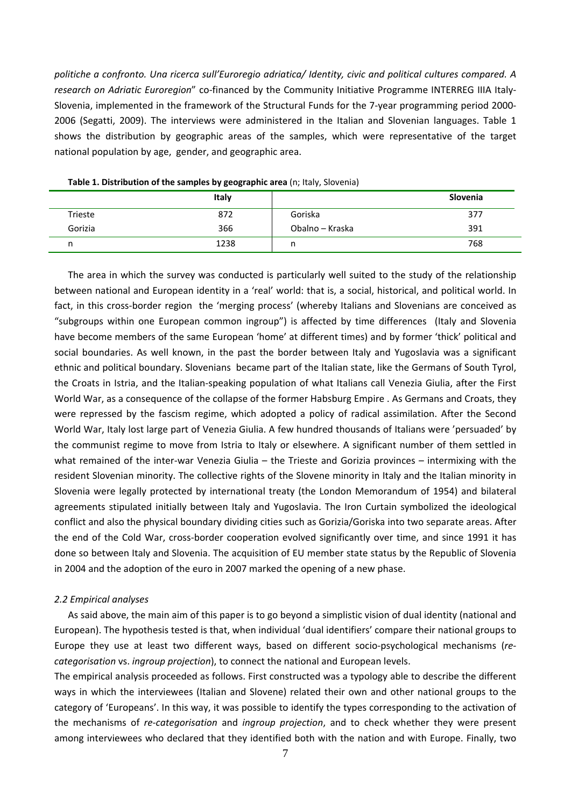*politiche a confronto. Una ricerca sull'Euroregio adriatica/ Identity, civic and political cultures compared. A research on Adriatic Euroregion*" co-financed by the Community Initiative Programme INTERREG IIIA Italy-Slovenia, implemented in the framework of the Structural Funds for the 7‐year programming period 2000‐ 2006 (Segatti, 2009). The interviews were administered in the Italian and Slovenian languages. Table 1 shows the distribution by geographic areas of the samples, which were representative of the target national population by age, gender, and geographic area.

|         | Italy |                 | Slovenia |
|---------|-------|-----------------|----------|
| Trieste | 872   | Goriska         | 377      |
| Gorizia | 366   | Obalno – Kraska | 391      |
| . .     | 1238  | n               | 768      |

**Table 1. Distribution of the samples by geographic area** (n; Italy, Slovenia)

The area in which the survey was conducted is particularly well suited to the study of the relationship between national and European identity in a 'real' world: that is, a social, historical, and political world. In fact, in this cross-border region the 'merging process' (whereby Italians and Slovenians are conceived as "subgroups within one European common ingroup") is affected by time differences (Italy and Slovenia have become members of the same European 'home' at different times) and by former 'thick' political and social boundaries. As well known, in the past the border between Italy and Yugoslavia was a significant ethnic and political boundary. Slovenians became part of the Italian state, like the Germans of South Tyrol, the Croats in Istria, and the Italian‐speaking population of what Italians call Venezia Giulia, after the First World War, as a consequence of the collapse of the former Habsburg Empire . As Germans and Croats, they were repressed by the fascism regime, which adopted a policy of radical assimilation. After the Second World War, Italy lost large part of Venezia Giulia. A few hundred thousands of Italians were 'persuaded' by the communist regime to move from Istria to Italy or elsewhere. A significant number of them settled in what remained of the inter-war Venezia Giulia – the Trieste and Gorizia provinces – intermixing with the resident Slovenian minority. The collective rights of the Slovene minority in Italy and the Italian minority in Slovenia were legally protected by international treaty (the London Memorandum of 1954) and bilateral agreements stipulated initially between Italy and Yugoslavia. The Iron Curtain symbolized the ideological conflict and also the physical boundary dividing cities such as Gorizia/Goriska into two separate areas. After the end of the Cold War, cross-border cooperation evolved significantly over time, and since 1991 it has done so between Italy and Slovenia. The acquisition of EU member state status by the Republic of Slovenia in 2004 and the adoption of the euro in 2007 marked the opening of a new phase.

#### *2.2 Empirical analyses*

As said above, the main aim of this paper is to go beyond a simplistic vision of dual identity (national and European). The hypothesis tested is that, when individual 'dual identifiers' compare their national groups to Europe they use at least two different ways, based on different socio‐psychological mechanisms (*re‐ categorisation* vs. *ingroup projection*), to connect the national and European levels.

The empirical analysis proceeded as follows. First constructed was a typology able to describe the different ways in which the interviewees (Italian and Slovene) related their own and other national groups to the category of 'Europeans'. In this way, it was possible to identify the types corresponding to the activation of the mechanisms of *re‐categorisation* and *ingroup projection*, and to check whether they were present among interviewees who declared that they identified both with the nation and with Europe. Finally, two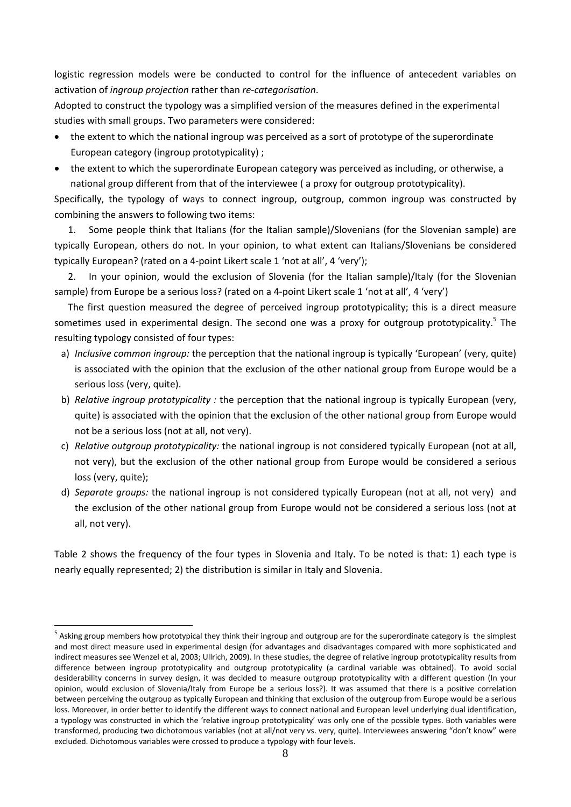logistic regression models were be conducted to control for the influence of antecedent variables on activation of *ingroup projection* rather than *re‐categorisation*.

Adopted to construct the typology was a simplified version of the measures defined in the experimental studies with small groups. Two parameters were considered:

- the extent to which the national ingroup was perceived as a sort of prototype of the superordinate European category (ingroup prototypicality) ;
- the extent to which the superordinate European category was perceived as including, or otherwise, a national group different from that of the interviewee ( a proxy for outgroup prototypicality).

Specifically, the typology of ways to connect ingroup, outgroup, common ingroup was constructed by combining the answers to following two items:

1. Some people think that Italians (for the Italian sample)/Slovenians (for the Slovenian sample) are typically European, others do not. In your opinion, to what extent can Italians/Slovenians be considered typically European? (rated on a 4‐point Likert scale 1 'not at all', 4 'very');

2. In your opinion, would the exclusion of Slovenia (for the Italian sample)/Italy (for the Slovenian sample) from Europe be a serious loss? (rated on a 4‐point Likert scale 1 'not at all', 4 'very')

The first question measured the degree of perceived ingroup prototypicality; this is a direct measure sometimes used in experimental design. The second one was a proxy for outgroup prototypicality.<sup>5</sup> The resulting typology consisted of four types:

- a) *Inclusive common ingroup:* the perception that the national ingroup is typically 'European' (very, quite) is associated with the opinion that the exclusion of the other national group from Europe would be a serious loss (very, quite).
- b) *Relative ingroup prototypicality :* the perception that the national ingroup is typically European (very, quite) is associated with the opinion that the exclusion of the other national group from Europe would not be a serious loss (not at all, not very).
- c) *Relative outgroup prototypicality:* the national ingroup is not considered typically European (not at all, not very), but the exclusion of the other national group from Europe would be considered a serious loss (very, quite);
- d) *Separate groups:* the national ingroup is not considered typically European (not at all, not very) and the exclusion of the other national group from Europe would not be considered a serious loss (not at all, not very).

Table 2 shows the frequency of the four types in Slovenia and Italy. To be noted is that: 1) each type is nearly equally represented; 2) the distribution is similar in Italy and Slovenia.

<sup>&</sup>lt;sup>5</sup> Asking group members how prototypical they think their ingroup and outgroup are for the superordinate category is the simplest and most direct measure used in experimental design (for advantages and disadvantages compared with more sophisticated and indirect measures see Wenzel et al, 2003; Ullrich, 2009). In these studies, the degree of relative ingroup prototypicality results from difference between ingroup prototypicality and outgroup prototypicality (a cardinal variable was obtained). To avoid social desiderability concerns in survey design, it was decided to measure outgroup prototypicality with a different question (In your opinion, would exclusion of Slovenia/Italy from Europe be a serious loss?). It was assumed that there is a positive correlation between perceiving the outgroup as typically European and thinking that exclusion of the outgroup from Europe would be a serious loss. Moreover, in order better to identify the different ways to connect national and European level underlying dual identification, a typology was constructed in which the 'relative ingroup prototypicality' was only one of the possible types. Both variables were transformed, producing two dichotomous variables (not at all/not very vs. very, quite). Interviewees answering "don't know" were excluded. Dichotomous variables were crossed to produce a typology with four levels.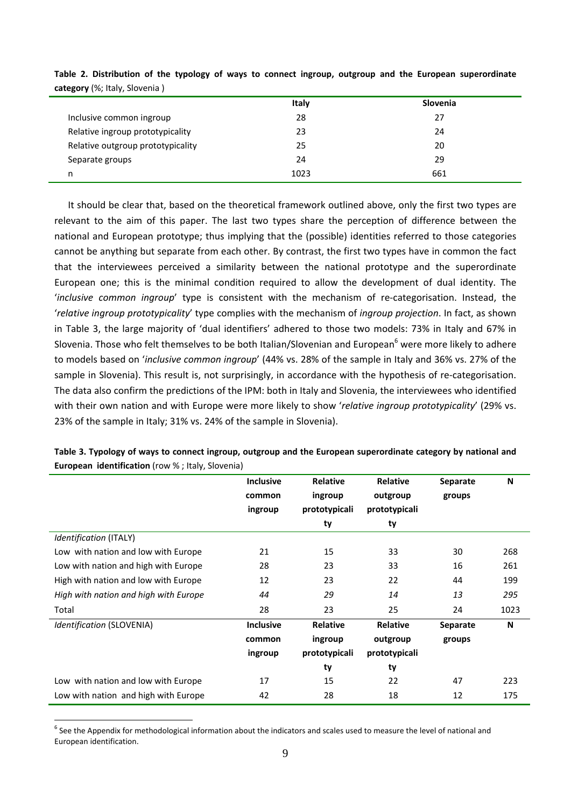|                                   | Italy | Slovenia |
|-----------------------------------|-------|----------|
| Inclusive common ingroup          | 28    | 27       |
| Relative ingroup prototypicality  | 23    | 24       |
| Relative outgroup prototypicality | 25    | 20       |
| Separate groups                   | 24    | 29       |
| n                                 | 1023  | 661      |

**Table 2. Distribution of the typology of ways to connect ingroup, outgroup and the European superordinate category** (%; Italy, Slovenia )

It should be clear that, based on the theoretical framework outlined above, only the first two types are relevant to the aim of this paper. The last two types share the perception of difference between the national and European prototype; thus implying that the (possible) identities referred to those categories cannot be anything but separate from each other. By contrast, the first two types have in common the fact that the interviewees perceived a similarity between the national prototype and the superordinate European one; this is the minimal condition required to allow the development of dual identity. The '*inclusive common ingroup*' type is consistent with the mechanism of re‐categorisation. Instead, the '*relative ingroup prototypicality*' type complies with the mechanism of *ingroup projection*. In fact, as shown in Table 3, the large majority of 'dual identifiers' adhered to those two models: 73% in Italy and 67% in Slovenia. Those who felt themselves to be both Italian/Slovenian and European<sup>6</sup> were more likely to adhere to models based on '*inclusive common ingroup*' (44% vs. 28% of the sample in Italy and 36% vs. 27% of the sample in Slovenia). This result is, not surprisingly, in accordance with the hypothesis of re-categorisation. The data also confirm the predictions of the IPM: both in Italy and Slovenia, the interviewees who identified with their own nation and with Europe were more likely to show '*relative ingroup prototypicality*' (29% vs. 23% of the sample in Italy; 31% vs. 24% of the sample in Slovenia).

|                                       | <b>Inclusive</b><br>common<br>ingroup | <b>Relative</b><br>ingroup<br>prototypicali<br>ty | <b>Relative</b><br>outgroup<br>prototypicali<br>ty | <b>Separate</b><br>groups | N    |
|---------------------------------------|---------------------------------------|---------------------------------------------------|----------------------------------------------------|---------------------------|------|
| <i>Identification</i> (ITALY)         |                                       |                                                   |                                                    |                           |      |
| Low with nation and low with Europe   | 21                                    | 15                                                | 33                                                 | 30                        | 268  |
| Low with nation and high with Europe  | 28                                    | 23                                                | 33                                                 | 16                        | 261  |
| High with nation and low with Europe  | 12                                    | 23                                                | 22                                                 | 44                        | 199  |
| High with nation and high with Europe | 44                                    | 29                                                | 14                                                 | 13                        | 295  |
| Total                                 | 28                                    | 23                                                | 25                                                 | 24                        | 1023 |
| Identification (SLOVENIA)             | <b>Inclusive</b>                      | Relative                                          | Relative                                           | <b>Separate</b>           | N    |
|                                       | common                                | ingroup                                           | outgroup                                           | groups                    |      |
|                                       | ingroup                               | prototypicali                                     | prototypicali                                      |                           |      |
|                                       |                                       | ty                                                | ty                                                 |                           |      |
| Low with nation and low with Europe   | 17                                    | 15                                                | 22                                                 | 47                        | 223  |
| Low with nation and high with Europe  | 42                                    | 28                                                | 18                                                 | 12                        | 175  |

Table 3. Typology of ways to connect ingroup, outgroup and the European superordinate category by national and **European identification** (row % ; Italy, Slovenia)

 $6$  See the Appendix for methodological information about the indicators and scales used to measure the level of national and European identification.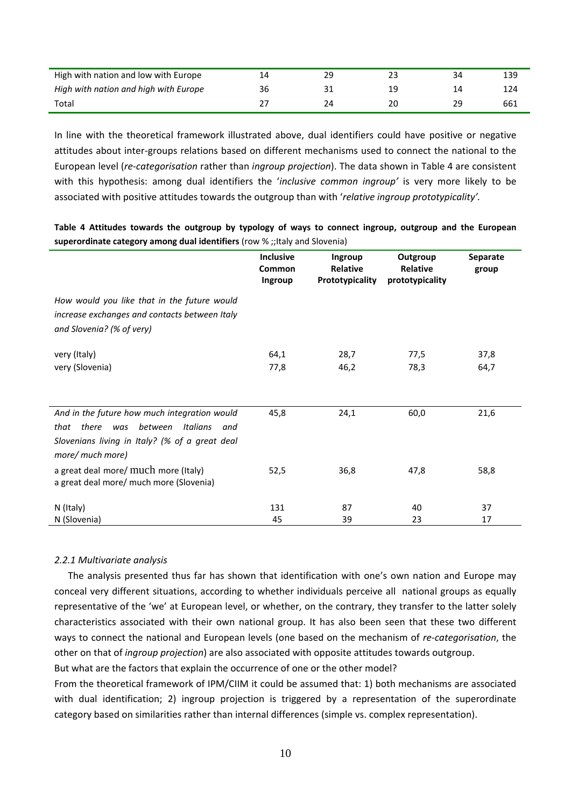| High with nation and low with Europe  |    |    | 139 |
|---------------------------------------|----|----|-----|
| High with nation and high with Europe | 36 | 19 | 124 |
| Total                                 |    |    | 661 |

In line with the theoretical framework illustrated above, dual identifiers could have positive or negative attitudes about inter‐groups relations based on different mechanisms used to connect the national to the European level (*re‐categorisation* rather than *ingroup projection*). The data shown in Table 4 are consistent with this hypothesis: among dual identifiers the '*inclusive common ingroup'* is very more likely to be associated with positive attitudes towards the outgroup than with '*relative ingroup prototypicality'.*

| Table 4 Attitudes towards the outgroup by typology of ways to connect ingroup, outgroup and the European |  |  |  |  |  |  |  |
|----------------------------------------------------------------------------------------------------------|--|--|--|--|--|--|--|
| superordinate category among dual identifiers (row % ;; Italy and Slovenia)                              |  |  |  |  |  |  |  |

|                                                                                                                                                                       | Inclusive<br>Common<br>Ingroup | Ingroup<br><b>Relative</b><br>Prototypicality | Outgroup<br>Relative<br>prototypicality | Separate<br>group |
|-----------------------------------------------------------------------------------------------------------------------------------------------------------------------|--------------------------------|-----------------------------------------------|-----------------------------------------|-------------------|
| How would you like that in the future would<br>increase exchanges and contacts between Italy<br>and Slovenia? (% of very)                                             |                                |                                               |                                         |                   |
| very (Italy)<br>very (Slovenia)                                                                                                                                       | 64,1<br>77,8                   | 28,7<br>46,2                                  | 77,5<br>78,3                            | 37,8<br>64,7      |
| And in the future how much integration would<br>that there<br>between<br>Italians<br>was<br>and<br>Slovenians living in Italy? (% of a great deal<br>more/ much more) | 45,8                           | 24,1                                          | 60,0                                    | 21,6              |
| a great deal more/ much more (Italy)<br>a great deal more/ much more (Slovenia)                                                                                       | 52,5                           | 36,8                                          | 47,8                                    | 58,8              |
| $N$ (Italy)<br>N (Slovenia)                                                                                                                                           | 131<br>45                      | 87<br>39                                      | 40<br>23                                | 37<br>17          |

# *2.2.1 Multivariate analysis*

The analysis presented thus far has shown that identification with one's own nation and Europe may conceal very different situations, according to whether individuals perceive all national groups as equally representative of the 'we' at European level, or whether, on the contrary, they transfer to the latter solely characteristics associated with their own national group. It has also been seen that these two different ways to connect the national and European levels (one based on the mechanism of *re‐categorisation*, the other on that of *ingroup projection*) are also associated with opposite attitudes towards outgroup.

But what are the factors that explain the occurrence of one or the other model?

From the theoretical framework of IPM/CIIM it could be assumed that: 1) both mechanisms are associated with dual identification; 2) ingroup projection is triggered by a representation of the superordinate category based on similarities rather than internal differences (simple vs. complex representation).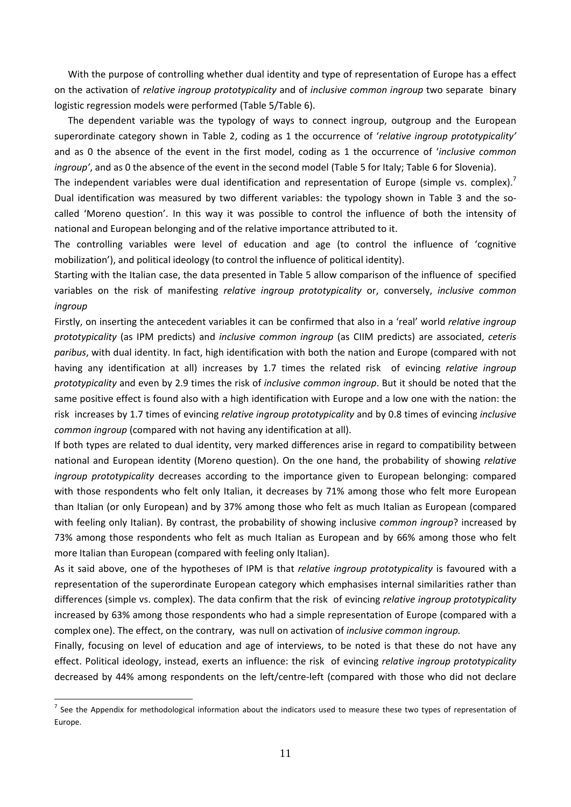With the purpose of controlling whether dual identity and type of representation of Europe has a effect on the activation of *relative ingroup prototypicality* and of *inclusive common ingroup* two separate binary logistic regression models were performed (Table 5/Table 6).

The dependent variable was the typology of ways to connect ingroup, outgroup and the European superordinate category shown in Table 2, coding as 1 the occurrence of '*relative ingroup prototypicality'* and as 0 the absence of the event in the first model, coding as 1 the occurrence of '*inclusive common ingroup'*, and as 0 the absence of the event in the second model (Table 5 for Italy; Table 6 for Slovenia).

The independent variables were dual identification and representation of Europe (simple vs. complex).<sup>7</sup> Dual identification was measured by two different variables: the typology shown in Table 3 and the socalled 'Moreno question'. In this way it was possible to control the influence of both the intensity of national and European belonging and of the relative importance attributed to it.

The controlling variables were level of education and age (to control the influence of 'cognitive mobilization'), and political ideology (to control the influence of political identity).

Starting with the Italian case, the data presented in Table 5 allow comparison of the influence of specified variables on the risk of manifesting *relative ingroup prototypicality* or, conversely, *inclusive common ingroup*

Firstly, on inserting the antecedent variables it can be confirmed that also in a 'real' world *relative ingroup prototypicality* (as IPM predicts) and *inclusive common ingroup* (as CIIM predicts) are associated, *ceteris paribus*, with dual identity. In fact, high identification with both the nation and Europe (compared with not having any identification at all) increases by 1.7 times the related risk of evincing *relative ingroup prototypicality* and even by 2.9 times the risk of *inclusive common ingroup*. But it should be noted that the same positive effect is found also with a high identification with Europe and a low one with the nation: the risk increases by 1.7 times of evincing *relative ingroup prototypicality* and by 0.8 times of evincing *inclusive common ingroup* (compared with not having any identification at all).

If both types are related to dual identity, very marked differences arise in regard to compatibility between national and European identity (Moreno question). On the one hand, the probability of showing *relative ingroup prototypicality* decreases according to the importance given to European belonging: compared with those respondents who felt only Italian, it decreases by 71% among those who felt more European than Italian (or only European) and by 37% among those who felt as much Italian as European (compared with feeling only Italian). By contrast, the probability of showing inclusive *common ingroup*? increased by 73% among those respondents who felt as much Italian as European and by 66% among those who felt more Italian than European (compared with feeling only Italian).

As it said above, one of the hypotheses of IPM is that *relative ingroup prototypicality* is favoured with a representation of the superordinate European category which emphasises internal similarities rather than differences (simple vs. complex). The data confirm that the risk of evincing *relative ingroup prototypicality* increased by 63% among those respondents who had a simple representation of Europe (compared with a complex one). The effect, on the contrary, was null on activation of *inclusive common ingroup.* 

Finally, focusing on level of education and age of interviews, to be noted is that these do not have any effect. Political ideology, instead, exerts an influence: the risk of evincing *relative ingroup prototypicality* decreased by 44% among respondents on the left/centre‐left (compared with those who did not declare

 $<sup>7</sup>$  See the Appendix for methodological information about the indicators used to measure these two types of representation of</sup> Europe.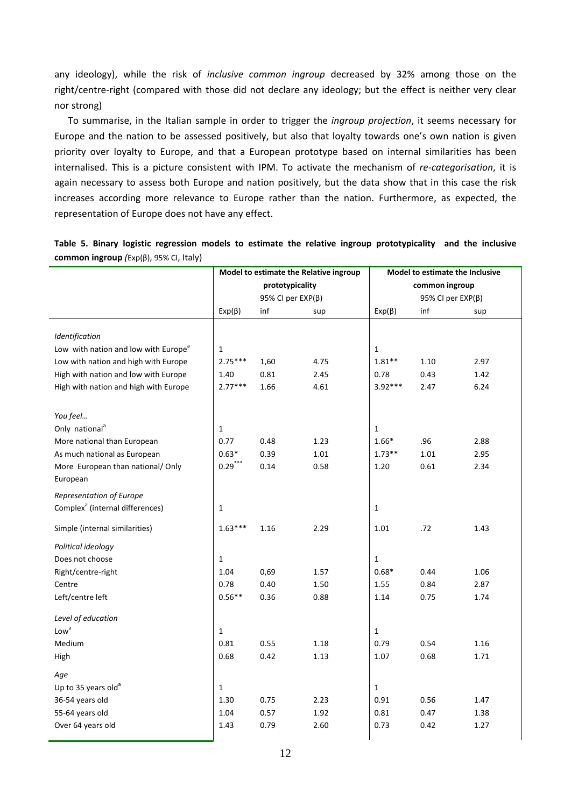any ideology), while the risk of *inclusive common ingroup* decreased by 32% among those on the right/centre‐right (compared with those did not declare any ideology; but the effect is neither very clear nor strong)

To summarise, in the Italian sample in order to trigger the *ingroup projection*, it seems necessary for Europe and the nation to be assessed positively, but also that loyalty towards one's own nation is given priority over loyalty to Europe, and that a European prototype based on internal similarities has been internalised. This is a picture consistent with IPM. To activate the mechanism of *re‐categorisation*, it is again necessary to assess both Europe and nation positively, but the data show that in this case the risk increases according more relevance to Europe rather than the nation. Furthermore, as expected, the representation of Europe does not have any effect.

|  |                                               |  |  | Table 5. Binary logistic regression models to estimate the relative ingroup prototypicality and the inclusive |  |  |
|--|-----------------------------------------------|--|--|---------------------------------------------------------------------------------------------------------------|--|--|
|  | common ingroup $(Exp(\beta), 95\%$ CI, Italy) |  |  |                                                                                                               |  |  |

|                                                  |                   | Model to estimate the Relative ingroup |      |              | Model to estimate the Inclusive |      |
|--------------------------------------------------|-------------------|----------------------------------------|------|--------------|---------------------------------|------|
|                                                  |                   | prototypicality                        |      |              | common ingroup                  |      |
|                                                  | 95% CI per EXP(β) |                                        |      |              | 95% CI per EXP(β)               |      |
|                                                  | $Exp(\beta)$      | inf                                    | sup  | $Exp(\beta)$ | inf                             | sup  |
|                                                  |                   |                                        |      |              |                                 |      |
| Identification                                   |                   |                                        |      |              |                                 |      |
| Low with nation and low with Europe <sup>a</sup> | $\mathbf{1}$      |                                        |      | $\mathbf 1$  |                                 |      |
| Low with nation and high with Europe             | $2.75***$         | 1,60                                   | 4.75 | $1.81**$     | 1.10                            | 2.97 |
| High with nation and low with Europe             | 1.40              | 0.81                                   | 2.45 | 0.78         | 0.43                            | 1.42 |
| High with nation and high with Europe            | $2.77***$         | 1.66                                   | 4.61 | 3.92***      | 2.47                            | 6.24 |
| You feel                                         |                   |                                        |      |              |                                 |      |
| Only national <sup>a</sup>                       | $\mathbf{1}$      |                                        |      | $\mathbf{1}$ |                                 |      |
| More national than European                      | 0.77              | 0.48                                   | 1.23 | $1.66*$      | .96                             | 2.88 |
| As much national as European                     | $0.63*$           | 0.39                                   | 1.01 | $1.73***$    | 1.01                            | 2.95 |
| More European than national/ Only                | $0.29***$         | 0.14                                   | 0.58 | 1.20         | 0.61                            | 2.34 |
| European                                         |                   |                                        |      |              |                                 |      |
| Representation of Europe                         |                   |                                        |      |              |                                 |      |
| Complex <sup>a</sup> (internal differences)      | $\mathbf{1}$      |                                        |      | $\mathbf{1}$ |                                 |      |
| Simple (internal similarities)                   | $1.63***$         | 1.16                                   | 2.29 | $1.01\,$     | .72                             | 1.43 |
| Political ideology                               |                   |                                        |      |              |                                 |      |
| Does not choose                                  | $\mathbf{1}$      |                                        |      | $\mathbf 1$  |                                 |      |
| Right/centre-right                               | 1.04              | 0,69                                   | 1.57 | $0.68*$      | 0.44                            | 1.06 |
| Centre                                           | 0.78              | 0.40                                   | 1.50 | 1.55         | 0.84                            | 2.87 |
| Left/centre left                                 | $0.56**$          | 0.36                                   | 0.88 | 1.14         | 0.75                            | 1.74 |
| Level of education                               |                   |                                        |      |              |                                 |      |
| Low <sup>a</sup>                                 | $\mathbf{1}$      |                                        |      | $\mathbf{1}$ |                                 |      |
| Medium                                           | 0.81              | 0.55                                   | 1.18 | 0.79         | 0.54                            | 1.16 |
| High                                             | 0.68              | 0.42                                   | 1.13 | 1.07         | 0.68                            | 1.71 |
| Age                                              |                   |                                        |      |              |                                 |      |
| Up to 35 years old <sup>a</sup>                  | $\mathbf{1}$      |                                        |      | $\mathbf 1$  |                                 |      |
| 36-54 years old                                  | 1.30              | 0.75                                   | 2.23 | 0.91         | 0.56                            | 1.47 |
| 55-64 years old                                  | 1.04              | 0.57                                   | 1.92 | 0.81         | 0.47                            | 1.38 |
| Over 64 years old                                | 1.43              | 0.79                                   | 2.60 | 0.73         | 0.42                            | 1.27 |
|                                                  |                   |                                        |      |              |                                 |      |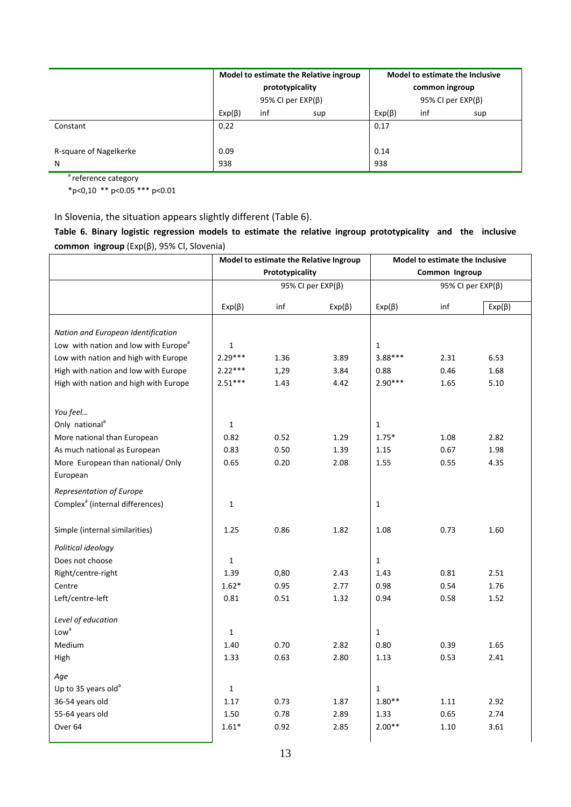|                        |                         | Model to estimate the Relative ingroup |     | Model to estimate the Inclusive |     |     |
|------------------------|-------------------------|----------------------------------------|-----|---------------------------------|-----|-----|
|                        |                         | prototypicality                        |     | common ingroup                  |     |     |
|                        | 95% CI per $EXP(\beta)$ |                                        |     | 95% CI per $EXP(\beta)$         |     |     |
|                        | $Exp(\beta)$            | inf                                    | sup | $Exp(\beta)$                    | inf | sup |
| Constant               | 0.22                    |                                        |     | 0.17                            |     |     |
|                        |                         |                                        |     |                                 |     |     |
| R-square of Nagelkerke | 0.09                    |                                        |     | 0.14                            |     |     |
| N                      | 938                     |                                        |     | 938                             |     |     |

<sup>a</sup> reference category

\*p<0,10 \*\* p<0.05 \*\*\* p<0.01

# In Slovenia, the situation appears slightly different (Table 6).

Table 6. Binary logistic regression models to estimate the relative ingroup prototypicality and the inclusive **common ingroup** (Exp(β), 95% CI, Slovenia)

|                                                  | Model to estimate the Relative Ingroup |                 |              |              | Model to estimate the Inclusive |              |
|--------------------------------------------------|----------------------------------------|-----------------|--------------|--------------|---------------------------------|--------------|
|                                                  |                                        | Prototypicality |              |              | Common Ingroup                  |              |
|                                                  | 95% CI per EXP(β)                      |                 |              |              | 95% CI per EXP(β)               |              |
|                                                  | $Exp(\beta)$                           | inf             | $Exp(\beta)$ | $Exp(\beta)$ | inf                             | $Exp(\beta)$ |
| Nation and European Identification               |                                        |                 |              |              |                                 |              |
| Low with nation and low with Europe <sup>a</sup> | $\mathbf{1}$                           |                 |              | $\mathbf{1}$ |                                 |              |
| Low with nation and high with Europe             | $2.29***$                              | 1.36            | 3.89         | 3.88***      | 2.31                            | 6.53         |
| High with nation and low with Europe             | $2.22***$                              | 1,29            | 3.84         | 0.88         | 0.46                            | 1.68         |
| High with nation and high with Europe            | $2.51***$                              | 1.43            | 4.42         | $2.90***$    | 1.65                            | 5.10         |
| You feel                                         |                                        |                 |              |              |                                 |              |
| Only national <sup>a</sup>                       | $\mathbf{1}$                           |                 |              | $1\,$        |                                 |              |
| More national than European                      | 0.82                                   | 0.52            | 1.29         | $1.75*$      | 1.08                            | 2.82         |
| As much national as European                     | 0.83                                   | 0.50            | 1.39         | 1.15         | 0.67                            | 1.98         |
| More European than national/ Only                | 0.65                                   | 0.20            | 2.08         | 1.55         | 0.55                            | 4.35         |
| European                                         |                                        |                 |              |              |                                 |              |
| Representation of Europe                         |                                        |                 |              |              |                                 |              |
| Complex <sup>a</sup> (internal differences)      | $\mathbf{1}$                           |                 |              | $\mathbf{1}$ |                                 |              |
| Simple (internal similarities)                   | 1.25                                   | 0.86            | 1.82         | 1.08         | 0.73                            | 1.60         |
| Political ideology                               |                                        |                 |              |              |                                 |              |
| Does not choose                                  | $\mathbf{1}$                           |                 |              | $\mathbf{1}$ |                                 |              |
| Right/centre-right                               | 1.39                                   | 0,80            | 2.43         | 1.43         | 0.81                            | 2.51         |
| Centre                                           | $1.62*$                                | 0.95            | 2.77         | 0.98         | 0.54                            | 1.76         |
| Left/centre-left                                 | 0.81                                   | 0.51            | 1.32         | 0.94         | 0.58                            | 1.52         |
| Level of education                               |                                        |                 |              |              |                                 |              |
| Low <sup>a</sup>                                 | $\mathbf{1}$                           |                 |              | $\mathbf 1$  |                                 |              |
| Medium                                           | 1.40                                   | 0.70            | 2.82         | 0.80         | 0.39                            | 1.65         |
| High                                             | 1.33                                   | 0.63            | 2.80         | 1.13         | 0.53                            | 2.41         |
| Age                                              |                                        |                 |              |              |                                 |              |
| Up to 35 years old <sup>a</sup>                  | $\mathbf{1}$                           |                 |              | $\mathbf 1$  |                                 |              |
| 36-54 years old                                  | 1.17                                   | 0.73            | 1.87         | $1.80**$     | 1.11                            | 2.92         |
| 55-64 years old                                  | 1.50                                   | 0.78            | 2.89         | 1.33         | 0.65                            | 2.74         |
| Over <sub>64</sub>                               | $1.61*$                                | 0.92            | 2.85         | $2.00**$     | 1.10                            | 3.61         |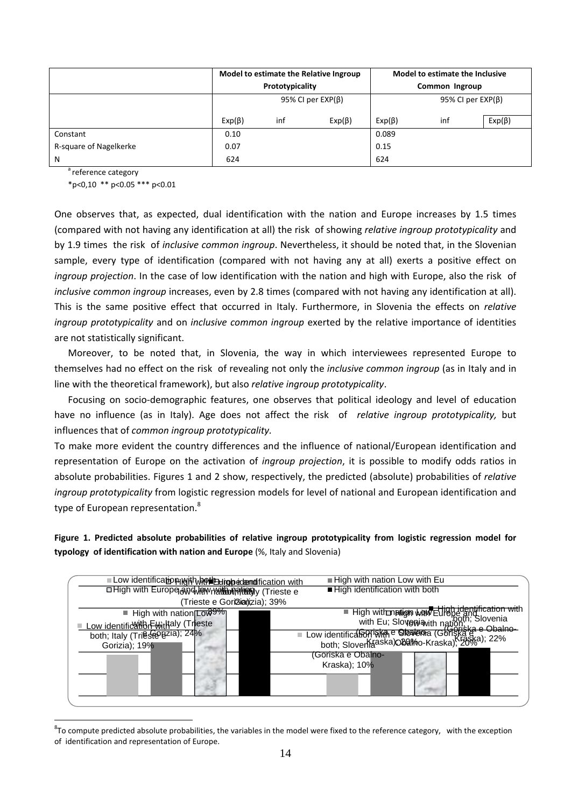|                        |                         |     | Model to estimate the Relative Ingroup | Model to estimate the Inclusive |     |              |  |
|------------------------|-------------------------|-----|----------------------------------------|---------------------------------|-----|--------------|--|
|                        | Prototypicality         |     |                                        | Common Ingroup                  |     |              |  |
|                        | 95% CI per $EXP(\beta)$ |     |                                        | 95% CI per $EXP(\beta)$         |     |              |  |
|                        | $Exp(\beta)$            | inf | $Exp(\beta)$                           | $Exp(\beta)$                    | inf | $Exp(\beta)$ |  |
| Constant               | 0.10                    |     |                                        | 0.089                           |     |              |  |
| R-square of Nagelkerke | 0.07                    |     |                                        | 0.15                            |     |              |  |
| N                      | 624                     |     |                                        | 624                             |     |              |  |

<sup>a</sup> reference category

 $\overline{a}$ 

 $*p<0.10$  \*\*  $p<0.05$  \*\*\*  $p<0.01$ 

One observes that, as expected, dual identification with the nation and Europe increases by 1.5 times (compared with not having any identification at all) the risk of showing *relative ingroup prototypicality* and by 1.9 timesthe risk of *inclusive common ingroup*. Nevertheless, it should be noted that, in the Slovenian sample, every type of identification (compared with not having any at all) exerts a positive effect on *ingroup projection*. In the case of low identification with the nation and high with Europe, also the risk of *inclusive common ingroup* increases, even by 2.8 times (compared with not having any identification at all). This is the same positive effect that occurred in Italy. Furthermore, in Slovenia the effects on *relative ingroup prototypicality* and on *inclusive common ingroup* exerted by the relative importance of identities are not statistically significant.

Moreover, to be noted that, in Slovenia, the way in which interviewees represented Europe to themselves had no effect on the risk of revealing not only the *inclusive common ingroup* (as in Italy and in line with the theoretical framework), but also *relative ingroup prototypicality*.

Focusing on socio-demographic features, one observes that political ideology and level of education have no influence (as in Italy). Age does not affect the risk of *relative ingroup prototypicality*, but influences that of *common ingroup prototypicality.*

To make more evident the country differences and the influence of national/European identification and representation of Europe on the activation of *ingroup projection*, it is possible to modify odds ratios in absolute probabilities. Figures 1 and 2 show, respectively, the predicted (absolute) probabilities of *relative ingroup prototypicality* from logistic regression models for level of national and European identification and type of European representation.<sup>8</sup>

**Figure 1. Predicted absolute probabilities of relative ingroup prototypicality from logistic regression model for typology of identification with nation and Europe** (%, Italy and Slovenia)

| Low identification My it with the best and fication with                         | ■ High with nation Low with Eu                                                                                                                                                                                                 |  |  |  |  |  |  |
|----------------------------------------------------------------------------------|--------------------------------------------------------------------------------------------------------------------------------------------------------------------------------------------------------------------------------|--|--|--|--|--|--|
| <b>OHigh with Europe and Waw Hailbon Ritagly (Trieste e</b>                      | ■ High identification with both                                                                                                                                                                                                |  |  |  |  |  |  |
| (Trieste e Goriamizia); 39%                                                      |                                                                                                                                                                                                                                |  |  |  |  |  |  |
| ■ High with nation[Low39%]                                                       |                                                                                                                                                                                                                                |  |  |  |  |  |  |
| <u>็ Low identificั⁄‱พ</u> ี่ใงr่ Fีู <del>ฟเ</del> ‡aly (Tr <mark>i</mark> este |                                                                                                                                                                                                                                |  |  |  |  |  |  |
| both; Italy (Tries Petzia); 24%                                                  | Figh with the state of the particular term of the method of the state of the state of the state of the state of the state of the state of the state of the state of the state of the state of the state of the state of the st |  |  |  |  |  |  |
| Gorizia); 19%                                                                    |                                                                                                                                                                                                                                |  |  |  |  |  |  |
|                                                                                  | (Goriska e Obalno-                                                                                                                                                                                                             |  |  |  |  |  |  |
|                                                                                  | Kraska); 10%                                                                                                                                                                                                                   |  |  |  |  |  |  |
|                                                                                  |                                                                                                                                                                                                                                |  |  |  |  |  |  |
|                                                                                  |                                                                                                                                                                                                                                |  |  |  |  |  |  |
|                                                                                  |                                                                                                                                                                                                                                |  |  |  |  |  |  |

 ${}^{8}$ To compute predicted absolute probabilities, the variables in the model were fixed to the reference category, with the exception of identification and representation of Europe.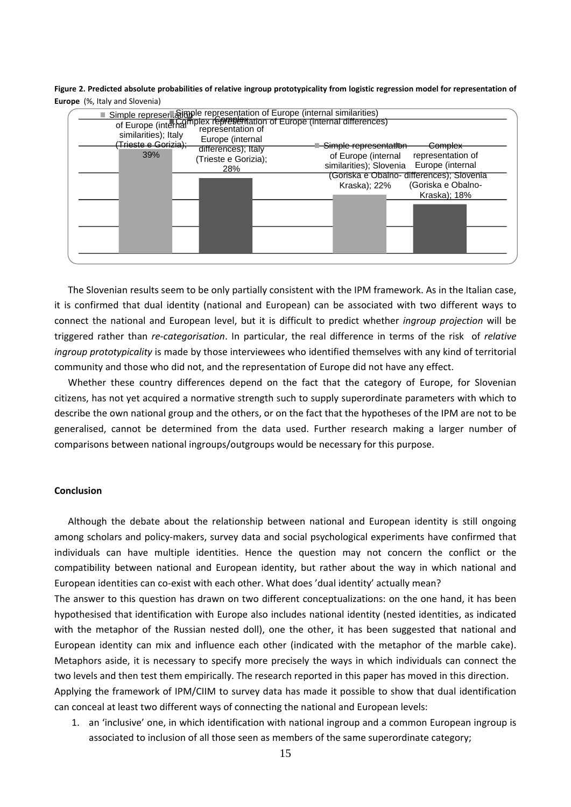Figure 2. Predicted absolute probabilities of relative ingroup prototypicality from logistic regression model for representation of **Europe** (%, Italy and Slovenia)



The Slovenian results seem to be only partially consistent with the IPM framework. As in the Italian case, it is confirmed that dual identity (national and European) can be associated with two different ways to connect the national and European level, but it is difficult to predict whether *ingroup projection* will be triggered rather than *re‐categorisation*. In particular, the real difference in terms of the risk of *relative ingroup prototypicality* is made by those interviewees who identified themselves with any kind of territorial community and those who did not, and the representation of Europe did not have any effect.

Whether these country differences depend on the fact that the category of Europe, for Slovenian citizens, has not yet acquired a normative strength such to supply superordinate parameters with which to describe the own national group and the others, or on the fact that the hypotheses of the IPM are not to be generalised, cannot be determined from the data used. Further research making a larger number of comparisons between national ingroups/outgroups would be necessary for this purpose.

# **Conclusion**

Although the debate about the relationship between national and European identity is still ongoing among scholars and policy-makers, survey data and social psychological experiments have confirmed that individuals can have multiple identities. Hence the question may not concern the conflict or the compatibility between national and European identity, but rather about the way in which national and European identities can co-exist with each other. What does 'dual identity' actually mean?

The answer to this question has drawn on two different conceptualizations: on the one hand, it has been hypothesised that identification with Europe also includes national identity (nested identities, as indicated with the metaphor of the Russian nested doll), one the other, it has been suggested that national and European identity can mix and influence each other (indicated with the metaphor of the marble cake). Metaphors aside, it is necessary to specify more precisely the ways in which individuals can connect the two levels and then test them empirically. The research reported in this paper has moved in this direction. Applying the framework of IPM/CIIM to survey data has made it possible to show that dual identification

can conceal at least two different ways of connecting the national and European levels:

1. an 'inclusive' one, in which identification with national ingroup and a common European ingroup is associated to inclusion of all those seen as members of the same superordinate category;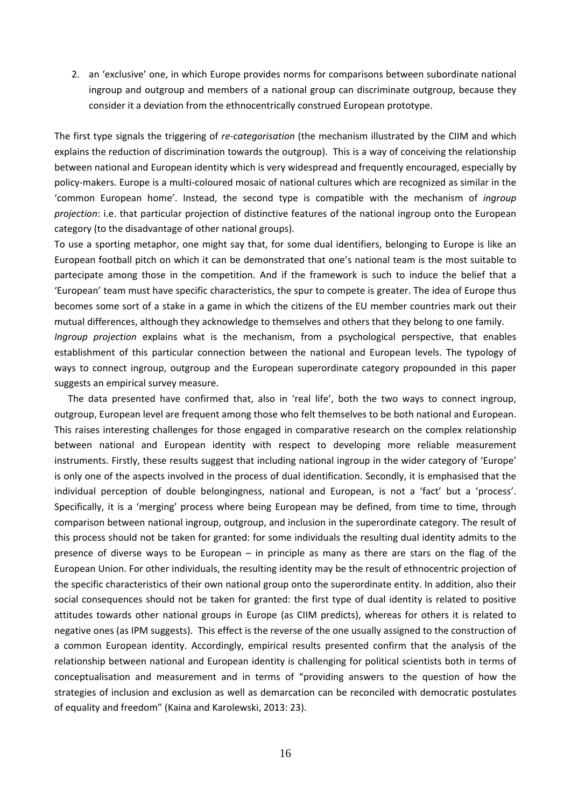2. an 'exclusive' one, in which Europe provides norms for comparisons between subordinate national ingroup and outgroup and members of a national group can discriminate outgroup, because they consider it a deviation from the ethnocentrically construed European prototype.

The first type signals the triggering of *re‐categorisation* (the mechanism illustrated by the CIIM and which explains the reduction of discrimination towards the outgroup). This is a way of conceiving the relationship between national and European identity which is very widespread and frequently encouraged, especially by policy-makers. Europe is a multi-coloured mosaic of national cultures which are recognized as similar in the 'common European home'. Instead, the second type is compatible with the mechanism of *ingroup projection*: i.e. that particular projection of distinctive features of the national ingroup onto the European category (to the disadvantage of other national groups).

To use a sporting metaphor, one might say that, for some dual identifiers, belonging to Europe is like an European football pitch on which it can be demonstrated that one's national team is the most suitable to partecipate among those in the competition. And if the framework is such to induce the belief that a 'European' team must have specific characteristics, the spur to compete is greater. The idea of Europe thus becomes some sort of a stake in a game in which the citizens of the EU member countries mark out their mutual differences, although they acknowledge to themselves and others that they belong to one family.

*Ingroup projection* explains what is the mechanism, from a psychological perspective, that enables establishment of this particular connection between the national and European levels. The typology of ways to connect ingroup, outgroup and the European superordinate category propounded in this paper suggests an empirical survey measure.

The data presented have confirmed that, also in 'real life', both the two ways to connect ingroup, outgroup, European level are frequent among those who felt themselves to be both national and European. This raises interesting challenges for those engaged in comparative research on the complex relationship between national and European identity with respect to developing more reliable measurement instruments. Firstly, these results suggest that including national ingroup in the wider category of 'Europe' is only one of the aspects involved in the process of dual identification. Secondly, it is emphasised that the individual perception of double belongingness, national and European, is not a 'fact' but a 'process'. Specifically, it is a 'merging' process where being European may be defined, from time to time, through comparison between national ingroup, outgroup, and inclusion in the superordinate category. The result of this process should not be taken for granted: for some individuals the resulting dual identity admits to the presence of diverse ways to be European – in principle as many as there are stars on the flag of the European Union. For other individuals, the resulting identity may be the result of ethnocentric projection of the specific characteristics of their own national group onto the superordinate entity. In addition, also their social consequences should not be taken for granted: the first type of dual identity is related to positive attitudes towards other national groups in Europe (as CIIM predicts), whereas for others it is related to negative ones (as IPM suggests). This effect is the reverse of the one usually assigned to the construction of a common European identity. Accordingly, empirical results presented confirm that the analysis of the relationship between national and European identity is challenging for political scientists both in terms of conceptualisation and measurement and in terms of "providing answers to the question of how the strategies of inclusion and exclusion as well as demarcation can be reconciled with democratic postulates of equality and freedom" (Kaina and Karolewski, 2013: 23).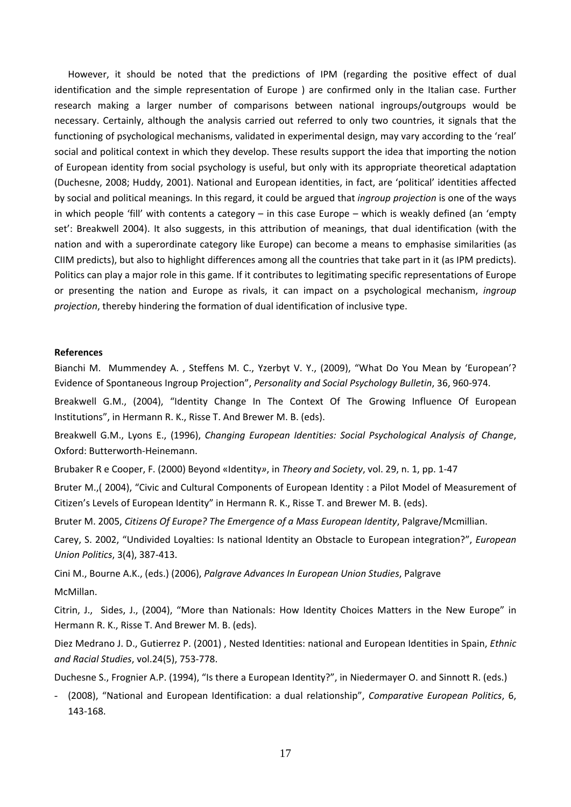However, it should be noted that the predictions of IPM (regarding the positive effect of dual identification and the simple representation of Europe ) are confirmed only in the Italian case. Further research making a larger number of comparisons between national ingroups/outgroups would be necessary. Certainly, although the analysis carried out referred to only two countries, it signals that the functioning of psychological mechanisms, validated in experimental design, may vary according to the 'real' social and political context in which they develop. These results support the idea that importing the notion of European identity from social psychology is useful, but only with its appropriate theoretical adaptation (Duchesne, 2008; Huddy, 2001). National and European identities, in fact, are 'political' identities affected by social and political meanings. In this regard, it could be argued that *ingroup projection* is one of the ways in which people 'fill' with contents a category – in this case Europe – which is weakly defined (an 'empty set': Breakwell 2004). It also suggests, in this attribution of meanings, that dual identification (with the nation and with a superordinate category like Europe) can become a means to emphasise similarities (as CIIM predicts), but also to highlight differences among all the countries that take part in it (as IPM predicts). Politics can play a major role in this game. If it contributes to legitimating specific representations of Europe or presenting the nation and Europe as rivals, it can impact on a psychological mechanism, *ingroup projection*, thereby hindering the formation of dual identification of inclusive type.

#### **References**

Bianchi M. Mummendey A., Steffens M. C., Yzerbyt V. Y., (2009), "What Do You Mean by 'European'? Evidence of Spontaneous Ingroup Projection", *Personality and Social Psychology Bulletin*, 36, 960‐974.

Breakwell G.M., (2004), "Identity Change In The Context Of The Growing Influence Of European Institutions", in Hermann R. K., Risse T. And Brewer M. B. (eds).

Breakwell G.M., Lyons E., (1996), *Changing European Identities: Social Psychological Analysis of Change*, Oxford: Butterworth‐Heinemann.

Brubaker R e Cooper, F. (2000) Beyond «Identity*»*, in *Theory and Society*, vol. 29, n. 1, pp. 1‐47

Bruter M.,( 2004), "Civic and Cultural Components of European Identity : a Pilot Model of Measurement of Citizen's Levels of European Identity" in Hermann R. K., Risse T. and Brewer M. B. (eds).

Bruter M. 2005, *Citizens Of Europe? The Emergence of a Mass European Identity*, Palgrave/Mcmillian.

Carey, S. 2002, "Undivided Loyalties: Is national Identity an Obstacle to European integration?", *European Union Politics*, 3(4), 387‐413.

Cini M., Bourne A.K., (eds.) (2006), *Palgrave Advances In European Union Studies*, Palgrave McMillan.

Citrin, J., Sides, J., (2004), "More than Nationals: How Identity Choices Matters in the New Europe" in Hermann R. K., Risse T. And Brewer M. B. (eds).

Diez Medrano J. D., Gutierrez P. (2001) , Nested Identities: national and European Identities in Spain, *Ethnic and Racial Studies*, vol.24(5), 753‐778.

Duchesne S., Frognier A.P. (1994), "Is there a European Identity?", in Niedermayer O. and Sinnott R. (eds.)

- (2008), "National and European Identification: a dual relationship", *Comparative European Politics*, 6, 143‐168.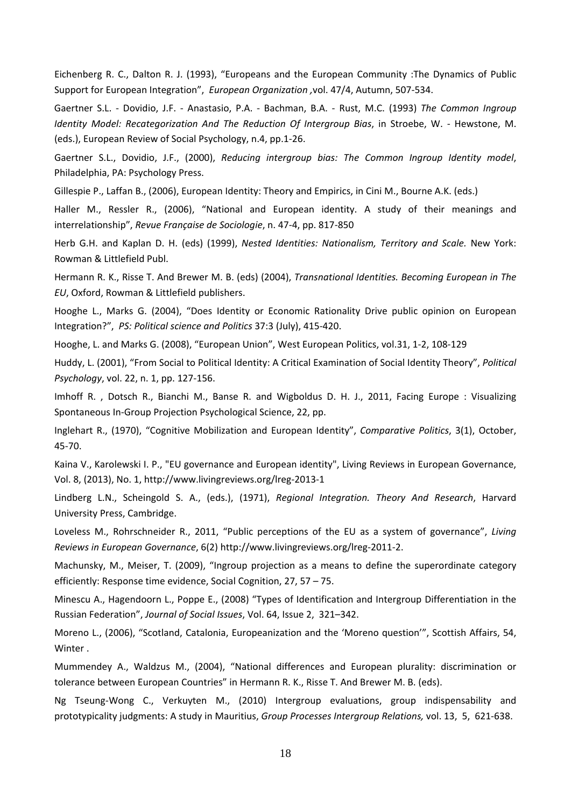Eichenberg R. C., Dalton R. J. (1993), "Europeans and the European Community :The Dynamics of Public Support for European Integration", *European Organization ,*vol. 47/4, Autumn, 507‐534.

Gaertner S.L. ‐ Dovidio, J.F. ‐ Anastasio, P.A. ‐ Bachman, B.A. ‐ Rust, M.C. (1993) *The Common Ingroup Identity Model: Recategorization And The Reduction Of Intergroup Bias*, in Stroebe, W. ‐ Hewstone, M. (eds.), European Review of Social Psychology, n.4, pp.1‐26.

Gaertner S.L., Dovidio, J.F., (2000), *Reducing intergroup bias: The Common Ingroup Identity model*, Philadelphia, PA: Psychology Press.

Gillespie P., Laffan B., (2006), European Identity: Theory and Empirics, in Cini M., Bourne A.K. (eds.)

Haller M., Ressler R., (2006), "National and European identity. A study of their meanings and interrelationship", *Revue Française de Sociologie*, n. 47‐4, pp. 817‐850

Herb G.H. and Kaplan D. H. (eds) (1999), *Nested Identities: Nationalism, Territory and Scale.* New York: Rowman & Littlefield Publ.

Hermann R. K., Risse T. And Brewer M. B. (eds) (2004), *Transnational Identities. Becoming European in The EU*, Oxford, Rowman & Littlefield publishers.

Hooghe L., Marks G. (2004), "Does Identity or Economic Rationality Drive public opinion on European Integration?", *PS: Political science and Politics* 37:3 (July), 415‐420.

Hooghe, L. and Marks G. (2008), "European Union", West European Politics, vol.31, 1‐2, 108‐129

Huddy, L. (2001), "From Social to Political Identity: A Critical Examination of Social Identity Theory", *Political Psychology*, vol. 22, n. 1, pp. 127‐156.

Imhoff R. , Dotsch R., Bianchi M., Banse R. and Wigboldus D. H. J., 2011, Facing Europe : Visualizing Spontaneous In‐Group Projection Psychological Science, 22, pp.

Inglehart R., (1970), "Cognitive Mobilization and European Identity", *Comparative Politics*, 3(1), October, 45‐70.

Kaina V., Karolewski I. P., "EU governance and European identity", Living Reviews in European Governance, Vol. 8, (2013), No. 1, http://www.livingreviews.org/lreg‐2013‐1

Lindberg L.N., Scheingold S. A., (eds.), (1971), *Regional Integration. Theory And Research*, Harvard University Press, Cambridge.

Loveless M., Rohrschneider R., 2011, "Public perceptions of the EU as a system of governance", *Living Reviews in European Governance*, 6(2) http://www.livingreviews.org/lreg‐2011‐2.

Machunsky, M., Meiser, T. (2009), "Ingroup projection as a means to define the superordinate category efficiently: Response time evidence, Social Cognition, 27, 57 – 75.

Minescu A., Hagendoorn L., Poppe E., (2008) "Types of Identification and Intergroup Differentiation in the Russian Federation", *Journal of Social Issues*, Vol. 64, Issue 2, 321–342.

Moreno L., (2006), "Scotland, Catalonia, Europeanization and the 'Moreno question'", Scottish Affairs, 54, Winter .

Mummendey A., Waldzus M., (2004), "National differences and European plurality: discrimination or tolerance between European Countries" in Hermann R. K., Risse T. And Brewer M. B. (eds).

Ng Tseung‐Wong C., Verkuyten M., (2010) Intergroup evaluations, group indispensability and prototypicality judgments: A study in Mauritius, *Group Processes Intergroup Relations,* vol. 13, 5, 621‐638.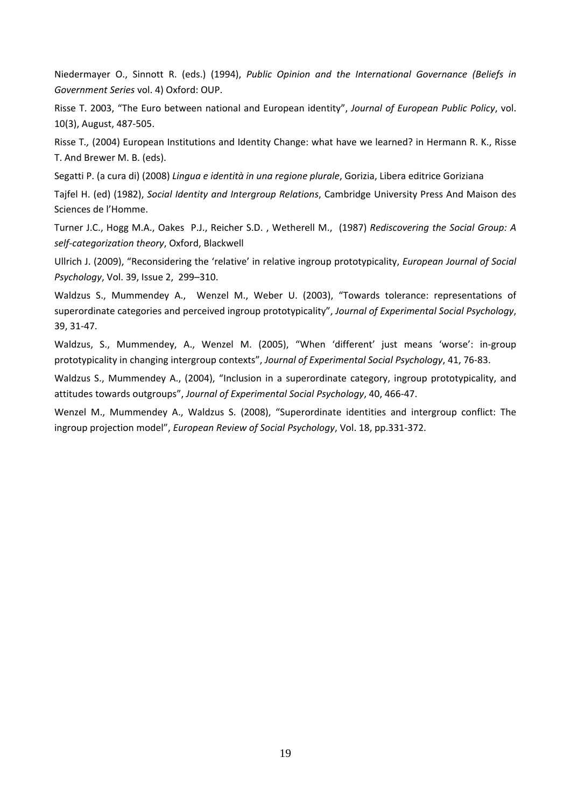Niedermayer O., Sinnott R. (eds.) (1994), *Public Opinion and the International Governance (Beliefs in Government Series* vol. 4) Oxford: OUP.

Risse T. 2003, "The Euro between national and European identity", *Journal of European Public Policy*, vol. 10(3), August, 487‐505.

Risse T*.,* (2004) European Institutions and Identity Change: what have we learned? in Hermann R. K., Risse T. And Brewer M. B. (eds).

Segatti P. (a cura di) (2008) *Lingua e identità in una regione plurale*, Gorizia, Libera editrice Goriziana

Tajfel H. (ed) (1982), *Social Identity and Intergroup Relations*, Cambridge University Press And Maison des Sciences de l'Homme.

Turner J.C., Hogg M.A., Oakes P.J., Reicher S.D. , Wetherell M., (1987) *Rediscovering the Social Group: A self‐categorization theory*, Oxford, Blackwell

Ullrich J. (2009), "Reconsidering the 'relative' in relative ingroup prototypicality, *European Journal of Social Psychology*, Vol. 39, Issue 2, 299–310.

Waldzus S., Mummendey A., Wenzel M., Weber U. (2003), "Towards tolerance: representations of superordinate categories and perceived ingroup prototypicality", *Journal of Experimental Social Psychology*, 39, 31‐47.

Waldzus, S., Mummendey, A., Wenzel M. (2005), "When 'different' just means 'worse': in‐group prototypicality in changing intergroup contexts", *Journal of Experimental Social Psychology*, 41, 76‐83.

Waldzus S., Mummendey A., (2004), "Inclusion in a superordinate category, ingroup prototypicality, and attitudes towards outgroups", *Journal of Experimental Social Psychology*, 40, 466‐47.

Wenzel M., Mummendey A., Waldzus S. (2008), "Superordinate identities and intergroup conflict: The ingroup projection model", *European Review of Social Psychology*, Vol. 18, pp.331‐372.